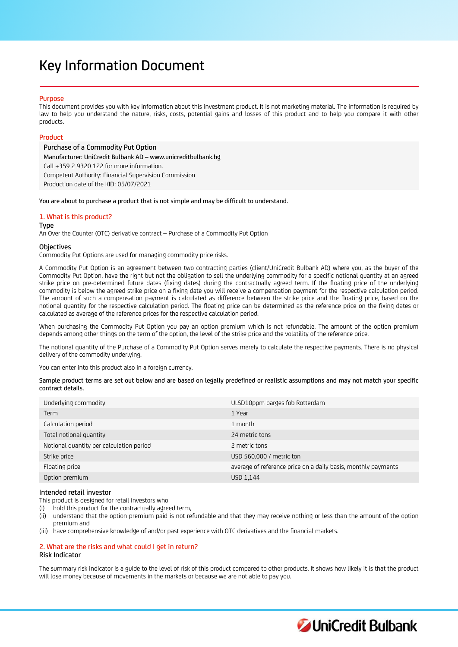# Key Information Document

# Purpose

This document provides you with key information about this investment product. It is not marketing material. The information is required by law to help you understand the nature, risks, costs, potential gains and losses of this product and to help you compare it with other products.

# Product

Purchase of a Commodity Put Option Manufacturer: UniCredit Bulbank AD – www.unicreditbulbank.bg Call +359 2 9320 122 for more information. Competent Authority: Financial Supervision Commission Production date of the KID: 05/07/2021

You are about to purchase a product that is not simple and may be difficult to understand.

# 1. What is this product?

#### Type

An Over the Counter (OTC) derivative contract – Purchase of a Commodity Put Option

#### **Objectives**

Commodity Put Options are used for managing commodity price risks.

A Commodity Put Option is an agreement between two contracting parties (client/UniCredit Bulbank AD) where you, as the buyer of the Commodity Put Option, have the right but not the obligation to sell the underlying commodity for a specific notional quantity at an agreed strike price on pre-determined future dates (fixing dates) during the contractually agreed term. If the floating price of the underlying commodity is below the agreed strike price on a fixing date you will receive a compensation payment for the respective calculation period. The amount of such a compensation payment is calculated as difference between the strike price and the floating price, based on the notional quantity for the respective calculation period. The floating price can be determined as the reference price on the fixing dates or calculated as average of the reference prices for the respective calculation period.

When purchasing the Commodity Put Option you pay an option premium which is not refundable. The amount of the option premium depends among other things on the term of the option, the level of the strike price and the volatility of the reference price.

The notional quantity of the Purchase of a Commodity Put Option serves merely to calculate the respective payments. There is no physical delivery of the commodity underlying.

You can enter into this product also in a foreign currency.

Sample product terms are set out below and are based on legally predefined or realistic assumptions and may not match your specific contract details.

| Underlying commodity                     | ULSD10ppm barges fob Rotterdam                                |
|------------------------------------------|---------------------------------------------------------------|
| Term                                     | 1 Year                                                        |
| Calculation period                       | 1 month                                                       |
| Total notional quantity                  | 24 metric tons                                                |
| Notional quantity per calculation period | 2 metric tons                                                 |
| Strike price                             | USD 560,000 / metric ton                                      |
| Floating price                           | average of reference price on a daily basis, monthly payments |
| Option premium                           | USD 1,144                                                     |

# Intended retail investor

This product is designed for retail investors who

hold this product for the contractually agreed term,

- (ii) understand that the option premium paid is not refundable and that they may receive nothing or less than the amount of the option premium and
- (iii) have comprehensive knowledge of and/or past experience with OTC derivatives and the financial markets.

# 2. What are the risks and what could I get in return?

# Risk Indicator

The summary risk indicator is a guide to the level of risk of this product compared to other products. It shows how likely it is that the product will lose money because of movements in the markets or because we are not able to pay you.

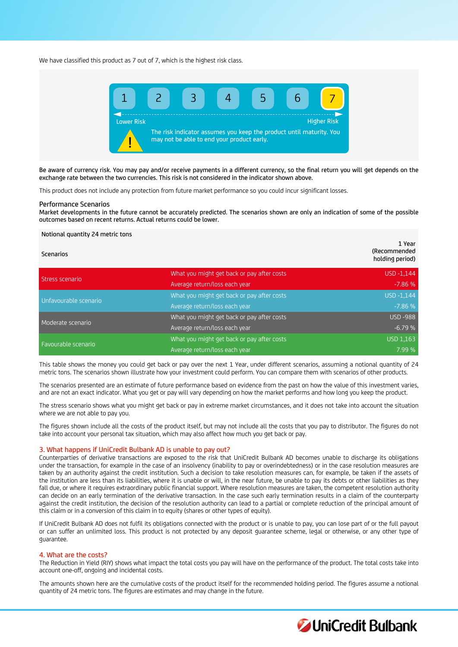We have classified this product as 7 out of 7, which is the highest risk class.



Be aware of currency risk. You may pay and/or receive payments in a different currency, so the final return you will get depends on the exchange rate between the two currencies. This risk is not considered in the indicator shown above.

This product does not include any protection from future market performance so you could incur significant losses.

#### Performance Scenarios

Market developments in the future cannot be accurately predicted. The scenarios shown are only an indication of some of the possible outcomes based on recent returns. Actual returns could be lower.

#### Notional quantity 24 metric tons

| <b>Scenarios</b>      |                                            | 1 Year<br>(Recommended<br>holding period) |
|-----------------------|--------------------------------------------|-------------------------------------------|
| Stress scenario       | What you might get back or pay after costs | USD -1,144                                |
|                       | Average return/loss each year              | $-7.86%$                                  |
| Unfavourable scenario | What you might get back or pay after costs | USD -1,144                                |
|                       | Average return/loss each year              | $-7.86%$                                  |
| Moderate scenario     | What you might get back or pay after costs | <b>USD -988</b>                           |
|                       | Average return/loss each year              | $-6.79%$                                  |
| Favourable scenario   | What you might get back or pay after costs | <b>USD 1,163</b>                          |
|                       | Average return/loss each year              | 7.99 %                                    |

This table shows the money you could get back or pay over the next 1 Year, under different scenarios, assuming a notional quantity of 24 metric tons. The scenarios shown illustrate how your investment could perform. You can compare them with scenarios of other products.

The scenarios presented are an estimate of future performance based on evidence from the past on how the value of this investment varies, and are not an exact indicator. What you get or pay will vary depending on how the market performs and how long you keep the product.

The stress scenario shows what you might get back or pay in extreme market circumstances, and it does not take into account the situation where we are not able to pay you.

The figures shown include all the costs of the product itself, but may not include all the costs that you pay to distributor. The figures do not take into account your personal tax situation, which may also affect how much you get back or pay.

#### 3. What happens if UniCredit Bulbank AD is unable to pay out?

Counterparties of derivative transactions are exposed to the risk that UniCredit Bulbank AD becomes unable to discharge its obligations under the transaction, for example in the case of an insolvency (inability to pay or overindebtedness) or in the case resolution measures are taken by an authority against the credit institution. Such a decision to take resolution measures can, for example, be taken if the assets of the institution are less than its liabilities, where it is unable or will, in the near future, be unable to pay its debts or other liabilities as they fall due, or where it requires extraordinary public financial support. Where resolution measures are taken, the competent resolution authority can decide on an early termination of the derivative transaction. In the case such early termination results in a claim of the counterparty against the credit institution, the decision of the resolution authority can lead to a partial or complete reduction of the principal amount of this claim or in a conversion of this claim in to equity (shares or other types of equity).

If UniCredit Bulbank AD does not fulfil its obligations connected with the product or is unable to pay, you can lose part of or the full payout or can suffer an unlimited loss. This product is not protected by any deposit guarantee scheme, legal or otherwise, or any other type of guarantee.

#### 4. What are the costs?

The Reduction in Yield (RIY) shows what impact the total costs you pay will have on the performance of the product. The total costs take into account one-off, ongoing and incidental costs.

The amounts shown here are the cumulative costs of the product itself for the recommended holding period. The figures assume a notional quantity of 24 metric tons. The figures are estimates and may change in the future.